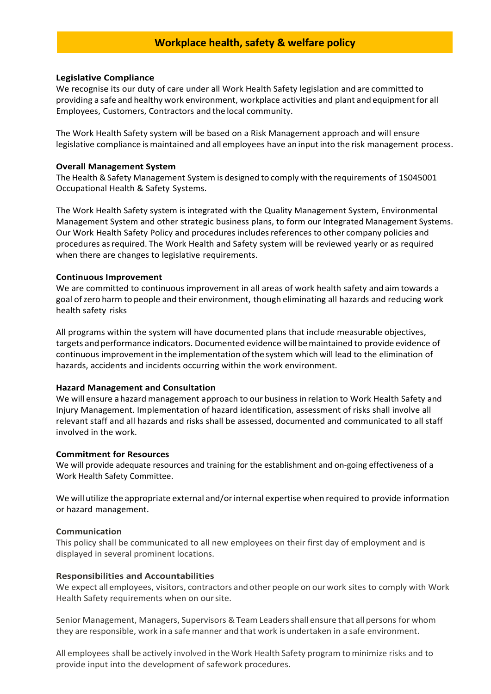# **Workplace health, safety & welfare policy**

#### **Legislative Compliance**

We recognise its our duty of care under all Work Health Safety legislation and are committed to providing a safe and healthy work environment, workplace activities and plant and equipment for all Employees, Customers, Contractors and the local community.

The Work Health Safety system will be based on a Risk Management approach and will ensure legislative compliance is maintained and all employees have an input into the risk management process.

#### **Overall Management System**

The Health &Safety Management System is designed to comply with the requirements of 1S045001 Occupational Health & Safety Systems.

The Work Health Safety system is integrated with the Quality Management System, Environmental Management System and other strategic business plans, to form our Integrated Management Systems. Our Work Health Safety Policy and proceduresincludesreferences to other company policies and procedures asrequired. The Work Health and Safety system will be reviewed yearly or as required when there are changes to legislative requirements.

## **Continuous Improvement**

We are committed to continuous improvement in all areas of work health safety and aim towards a goal ofzero harm to people and their environment, though eliminating all hazards and reducing work health safety risks

All programs within the system will have documented plans that include measurable objectives, targets andperformance indicators. Documented evidence willbemaintained to provide evidence of continuous improvement in the implementation ofthe system which will lead to the elimination of hazards, accidents and incidents occurring within the work environment.

## **Hazard Management and Consultation**

We will ensure a hazard management approach to our business in relation to Work Health Safety and Injury Management. Implementation of hazard identification, assessment of risks shall involve all relevant staff and all hazards and risks shall be assessed, documented and communicated to all staff involved in the work.

#### **Commitment for Resources**

We will provide adequate resources and training for the establishment and on-going effectiveness of a Work Health Safety Committee.

We will utilize the appropriate external and/or internal expertise when required to provide information or hazard management.

## **Communication**

This policy shall be communicated to all new employees on their first day of employment and is displayed in several prominent locations.

## **Responsibilities and Accountabilities**

We expect all employees, visitors, contractors and other people on ourwork sites to comply with Work Health Safety requirements when on oursite.

Senior Management, Managers, Supervisors & Team Leaders shall ensure that all persons for whom they are responsible, work in a safe manner and that work is undertaken in a safe environment.

All employees shall be actively involved in theWork Health Safety program tominimize risks and to provide input into the development of safework procedures.